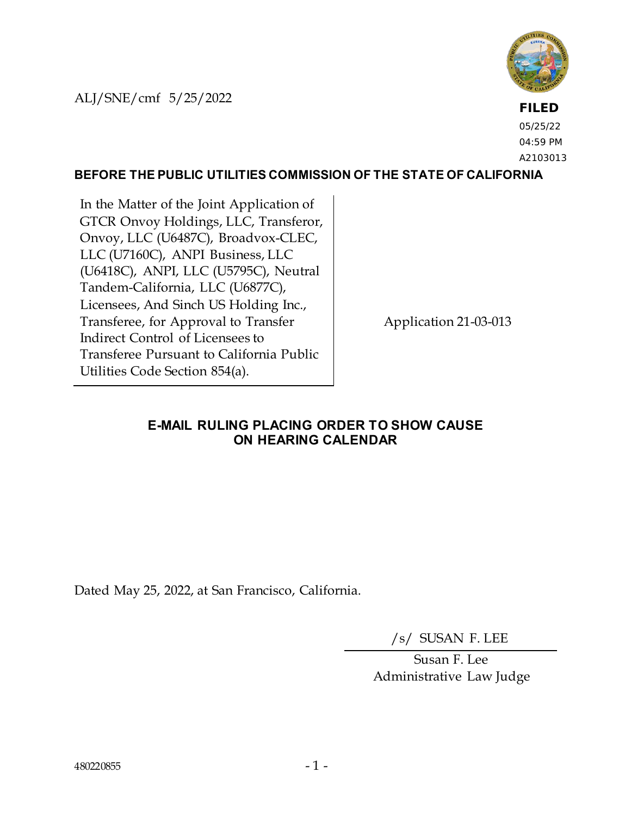ALJ/SNE/cmf 5/25/2022



**FILED** 05/25/22 04:59 PM A2103013

## **BEFORE THE PUBLIC UTILITIES COMMISSION OF THE STATE OF CALIFORNIA**

In the Matter of the Joint Application of GTCR Onvoy Holdings, LLC, Transferor, Onvoy, LLC (U6487C), Broadvox-CLEC, LLC (U7160C), ANPI Business, LLC (U6418C), ANPI, LLC (U5795C), Neutral Tandem-California, LLC (U6877C), Licensees, And Sinch US Holding Inc., Transferee, for Approval to Transfer Indirect Control of Licensees to Transferee Pursuant to California Public Utilities Code Section 854(a).

Application 21-03-013

## **E-MAIL RULING PLACING ORDER TO SHOW CAUSE ON HEARING CALENDAR**

Dated May 25, 2022, at San Francisco, California.

/s/ SUSAN F. LEE

Susan F. Lee Administrative Law Judge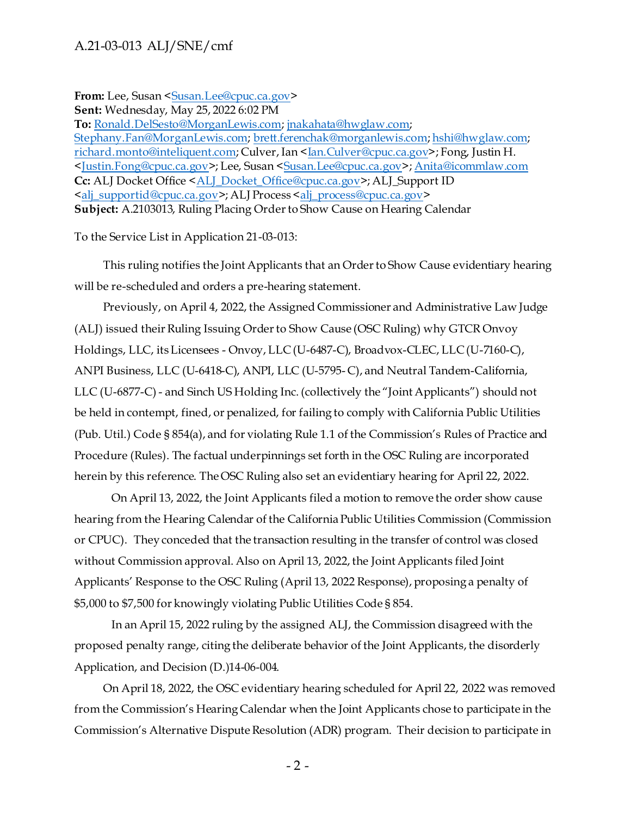## A.21-03-013 ALJ/SNE/cmf

From: Lee, Susan [<Susan.Lee@cpuc.ca.gov>](mailto:Susan.Lee@cpuc.ca.gov)

**Sent:** Wednesday, May 25, 2022 6:02 PM

**To:** [Ronald.DelSesto@MorganLewis.com](mailto:Ronald.DelSesto@MorganLewis.com)[; jnakahata@hwglaw.com](mailto:jnakahata@hwglaw.com); [Stephany.Fan@MorganLewis.com](mailto:Stephany.Fan@MorganLewis.com)[; brett.ferenchak@morganlewis.com](mailto:brett.ferenchak@morganlewis.com)[; hshi@hwglaw.com](mailto:hshi@hwglaw.com); [richard.monto@inteliquent.com](mailto:richard.monto@inteliquent.com); Culver, Ian [<Ian.Culver@cpuc.ca.gov](mailto:Ian.Culver@cpuc.ca.gov)>; Fong, Justin H. [<Justin.Fong@cpuc.ca.gov](mailto:Justin.Fong@cpuc.ca.gov)>; Lee, Susan [<Susan.Lee@cpuc.ca.gov](mailto:Susan.Lee@cpuc.ca.gov)>[; Anita@icommlaw.com](mailto:Anita@icommlaw.com) **Cc:** ALJ Docket Office [<ALJ\\_Docket\\_Office@cpuc.ca.gov](mailto:ALJ_Docket_Office@cpuc.ca.gov)>; ALJ\_Support ID [<alj\\_supportid@cpuc.ca.gov](mailto:alj_supportid@cpuc.ca.gov)>; ALJ Process [<alj\\_process@cpuc.ca.gov](mailto:alj_process@cpuc.ca.gov)> **Subject:** A.2103013, Ruling Placing Order to Show Cause on Hearing Calendar

To the Service List in Application 21-03-013:

 This ruling notifies the Joint Applicants that an Order to Show Cause evidentiary hearing will be re-scheduled and orders a pre-hearing statement.

Previously, on April 4, 2022, the Assigned Commissioner and Administrative Law Judge (ALJ) issued their Ruling Issuing Order to Show Cause (OSC Ruling) why GTCR Onvoy Holdings, LLC, its Licensees - Onvoy, LLC (U-6487-C), Broadvox-CLEC, LLC (U-7160-C), ANPI Business, LLC (U-6418-C), ANPI, LLC (U-5795- C), and Neutral Tandem-California, LLC (U-6877-C) - and Sinch US Holding Inc. (collectively the "Joint Applicants") should not be held in contempt, fined, or penalized, for failing to comply with California Public Utilities (Pub. Util.) Code § 854(a), and for violating Rule 1.1 of the Commission's Rules of Practice and Procedure (Rules). The factual underpinnings set forth in the OSC Ruling are incorporated herein by this reference. The OSC Ruling also set an evidentiary hearing for April 22, 2022.

On April 13, 2022, the Joint Applicants filed a motion to remove the order show cause hearing from the Hearing Calendar of the California Public Utilities Commission (Commission or CPUC). They conceded that the transaction resulting in the transfer of control was closed without Commission approval. Also on April 13, 2022, the Joint Applicants filed Joint Applicants' Response to the OSC Ruling (April 13, 2022 Response), proposing a penalty of \$5,000 to \$7,500 for knowingly violating Public Utilities Code § 854.

In an April 15, 2022 ruling by the assigned ALJ, the Commission disagreed with the proposed penalty range, citing the deliberate behavior of the Joint Applicants, the disorderly Application, and Decision (D.)14-06-004.

 On April 18, 2022, the OSC evidentiary hearing scheduled for April 22, 2022 was removed from the Commission's Hearing Calendar when the Joint Applicants chose to participate in the Commission's Alternative Dispute Resolution (ADR) program. Their decision to participate in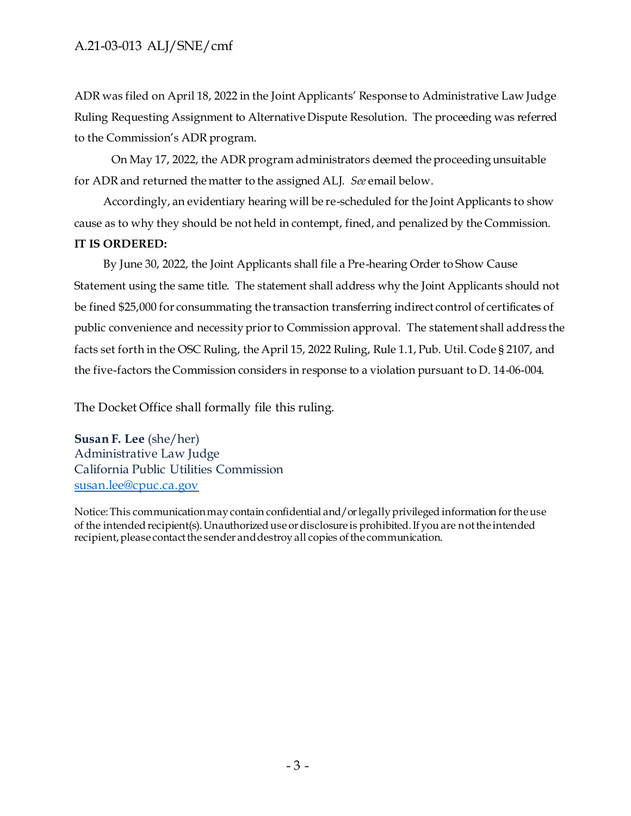ADR was filed on April 18, 2022 in the Joint Applicants' Response to Administrative Law Judge Ruling Requesting Assignment to Alternative Dispute Resolution. The proceeding was referred to the Commission's ADR program.

On May 17, 2022, the ADR program administrators deemed the proceeding unsuitable for ADR and returned the matter to the assigned ALJ. *See* email below.

 Accordingly, an evidentiary hearing will be re-scheduled for the Joint Applicants to show cause as to why they should be not held in contempt, fined, and penalized by the Commission. **IT IS ORDERED:**

 By June 30, 2022, the Joint Applicants shall file a Pre-hearing Order to Show Cause Statement using the same title. The statement shall address why the Joint Applicants should not be fined \$25,000 for consummating the transaction transferring indirect control of certificates of public convenience and necessity prior to Commission approval. The statement shall address the facts set forth in the OSC Ruling, the April 15, 2022 Ruling, Rule 1.1, Pub. Util. Code § 2107, and the five-factors the Commission considers in response to a violation pursuant to D. 14-06-004.

The Docket Office shall formally file this ruling.

**Susan F. Lee** (she/her) Administrative Law Judge California Public Utilities Commission [susan.lee@cpuc.ca.gov](mailto:susan.lee@cpuc.ca.gov)

Notice: This communication may contain confidential and/or legally privileged information for the use of the intended recipient(s). Unauthorized use or disclosure is prohibited. If you are not the intended recipient, please contact the sender and destroy all copies of the communication.